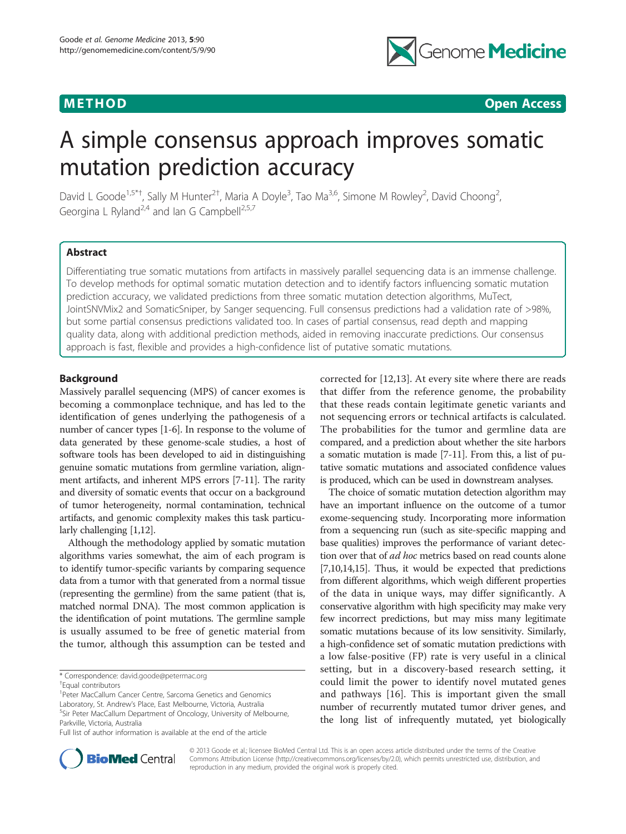

**METHOD CONSUMING ACCESS CONSUMING ACCESS** 

# A simple consensus approach improves somatic mutation prediction accuracy

David L Goode<sup>1,5\*†</sup>, Sally M Hunter<sup>2†</sup>, Maria A Doyle<sup>3</sup>, Tao Ma<sup>3,6</sup>, Simone M Rowley<sup>2</sup>, David Choong<sup>2</sup> , Georgina L Ryland<sup>2,4</sup> and Ian G Campbell<sup>2,5,7</sup>

# Abstract

Differentiating true somatic mutations from artifacts in massively parallel sequencing data is an immense challenge. To develop methods for optimal somatic mutation detection and to identify factors influencing somatic mutation prediction accuracy, we validated predictions from three somatic mutation detection algorithms, MuTect, JointSNVMix2 and SomaticSniper, by Sanger sequencing. Full consensus predictions had a validation rate of >98%, but some partial consensus predictions validated too. In cases of partial consensus, read depth and mapping quality data, along with additional prediction methods, aided in removing inaccurate predictions. Our consensus approach is fast, flexible and provides a high-confidence list of putative somatic mutations.

# Background

Massively parallel sequencing (MPS) of cancer exomes is becoming a commonplace technique, and has led to the identification of genes underlying the pathogenesis of a number of cancer types [[1](#page-12-0)-[6\]](#page-12-0). In response to the volume of data generated by these genome-scale studies, a host of software tools has been developed to aid in distinguishing genuine somatic mutations from germline variation, alignment artifacts, and inherent MPS errors [\[7-11\]](#page-12-0). The rarity and diversity of somatic events that occur on a background of tumor heterogeneity, normal contamination, technical artifacts, and genomic complexity makes this task particularly challenging [[1,12\]](#page-12-0).

Although the methodology applied by somatic mutation algorithms varies somewhat, the aim of each program is to identify tumor-specific variants by comparing sequence data from a tumor with that generated from a normal tissue (representing the germline) from the same patient (that is, matched normal DNA). The most common application is the identification of point mutations. The germline sample is usually assumed to be free of genetic material from the tumor, although this assumption can be tested and

<sup>1</sup> Peter MacCallum Cancer Centre, Sarcoma Genetics and Genomics Laboratory, St. Andrew's Place, East Melbourne, Victoria, Australia <sup>5</sup> <sup>5</sup>Sir Peter MacCallum Department of Oncology, University of Melbourne, Parkville, Victoria, Australia

corrected for [[12,13\]](#page-12-0). At every site where there are reads that differ from the reference genome, the probability that these reads contain legitimate genetic variants and not sequencing errors or technical artifacts is calculated. The probabilities for the tumor and germline data are compared, and a prediction about whether the site harbors a somatic mutation is made [\[7-11\]](#page-12-0). From this, a list of putative somatic mutations and associated confidence values is produced, which can be used in downstream analyses.

The choice of somatic mutation detection algorithm may have an important influence on the outcome of a tumor exome-sequencing study. Incorporating more information from a sequencing run (such as site-specific mapping and base qualities) improves the performance of variant detection over that of *ad hoc* metrics based on read counts alone [[7,10,14,15](#page-12-0)]. Thus, it would be expected that predictions from different algorithms, which weigh different properties of the data in unique ways, may differ significantly. A conservative algorithm with high specificity may make very few incorrect predictions, but may miss many legitimate somatic mutations because of its low sensitivity. Similarly, a high-confidence set of somatic mutation predictions with a low false-positive (FP) rate is very useful in a clinical setting, but in a discovery-based research setting, it could limit the power to identify novel mutated genes and pathways [[16](#page-12-0)]. This is important given the small number of recurrently mutated tumor driver genes, and the long list of infrequently mutated, yet biologically



© 2013 Goode et al.; licensee BioMed Central Ltd. This is an open access article distributed under the terms of the Creative Commons Attribution License [\(http://creativecommons.org/licenses/by/2.0\)](http://creativecommons.org/licenses/by/2.0), which permits unrestricted use, distribution, and reproduction in any medium, provided the original work is properly cited.

<sup>\*</sup> Correspondence: [david.goode@petermac.org](mailto:david.goode@petermac.org) †

Equal contributors

Full list of author information is available at the end of the article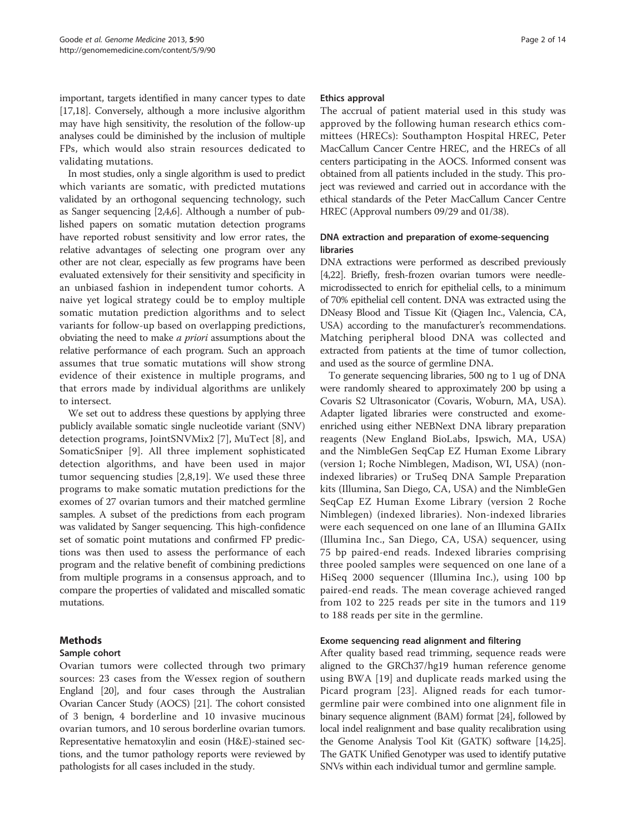important, targets identified in many cancer types to date [[17,18](#page-12-0)]. Conversely, although a more inclusive algorithm may have high sensitivity, the resolution of the follow-up analyses could be diminished by the inclusion of multiple FPs, which would also strain resources dedicated to validating mutations.

In most studies, only a single algorithm is used to predict which variants are somatic, with predicted mutations validated by an orthogonal sequencing technology, such as Sanger sequencing [[2,4,6](#page-12-0)]. Although a number of published papers on somatic mutation detection programs have reported robust sensitivity and low error rates, the relative advantages of selecting one program over any other are not clear, especially as few programs have been evaluated extensively for their sensitivity and specificity in an unbiased fashion in independent tumor cohorts. A naive yet logical strategy could be to employ multiple somatic mutation prediction algorithms and to select variants for follow-up based on overlapping predictions, obviating the need to make a priori assumptions about the relative performance of each program. Such an approach assumes that true somatic mutations will show strong evidence of their existence in multiple programs, and that errors made by individual algorithms are unlikely to intersect.

We set out to address these questions by applying three publicly available somatic single nucleotide variant (SNV) detection programs, JointSNVMix2 [[7\]](#page-12-0), MuTect [\[8](#page-12-0)], and SomaticSniper [[9\]](#page-12-0). All three implement sophisticated detection algorithms, and have been used in major tumor sequencing studies [[2,8](#page-12-0),[19\]](#page-12-0). We used these three programs to make somatic mutation predictions for the exomes of 27 ovarian tumors and their matched germline samples. A subset of the predictions from each program was validated by Sanger sequencing. This high-confidence set of somatic point mutations and confirmed FP predictions was then used to assess the performance of each program and the relative benefit of combining predictions from multiple programs in a consensus approach, and to compare the properties of validated and miscalled somatic mutations.

# Methods

# Sample cohort

Ovarian tumors were collected through two primary sources: 23 cases from the Wessex region of southern England [[20](#page-12-0)], and four cases through the Australian Ovarian Cancer Study (AOCS) [\[21\]](#page-12-0). The cohort consisted of 3 benign, 4 borderline and 10 invasive mucinous ovarian tumors, and 10 serous borderline ovarian tumors. Representative hematoxylin and eosin (H&E)-stained sections, and the tumor pathology reports were reviewed by pathologists for all cases included in the study.

#### Ethics approval

The accrual of patient material used in this study was approved by the following human research ethics committees (HRECs): Southampton Hospital HREC, Peter MacCallum Cancer Centre HREC, and the HRECs of all centers participating in the AOCS. Informed consent was obtained from all patients included in the study. This project was reviewed and carried out in accordance with the ethical standards of the Peter MacCallum Cancer Centre HREC (Approval numbers 09/29 and 01/38).

# DNA extraction and preparation of exome-sequencing libraries

DNA extractions were performed as described previously [[4,22\]](#page-12-0). Briefly, fresh-frozen ovarian tumors were needlemicrodissected to enrich for epithelial cells, to a minimum of 70% epithelial cell content. DNA was extracted using the DNeasy Blood and Tissue Kit (Qiagen Inc., Valencia, CA, USA) according to the manufacturer's recommendations. Matching peripheral blood DNA was collected and extracted from patients at the time of tumor collection, and used as the source of germline DNA.

To generate sequencing libraries, 500 ng to 1 ug of DNA were randomly sheared to approximately 200 bp using a Covaris S2 Ultrasonicator (Covaris, Woburn, MA, USA). Adapter ligated libraries were constructed and exomeenriched using either NEBNext DNA library preparation reagents (New England BioLabs, Ipswich, MA, USA) and the NimbleGen SeqCap EZ Human Exome Library (version 1; Roche Nimblegen, Madison, WI, USA) (nonindexed libraries) or TruSeq DNA Sample Preparation kits (Illumina, San Diego, CA, USA) and the NimbleGen SeqCap EZ Human Exome Library (version 2 Roche Nimblegen) (indexed libraries). Non-indexed libraries were each sequenced on one lane of an Illumina GAIIx (Illumina Inc., San Diego, CA, USA) sequencer, using 75 bp paired-end reads. Indexed libraries comprising three pooled samples were sequenced on one lane of a HiSeq 2000 sequencer (Illumina Inc.), using 100 bp paired-end reads. The mean coverage achieved ranged from 102 to 225 reads per site in the tumors and 119 to 188 reads per site in the germline.

#### Exome sequencing read alignment and filtering

After quality based read trimming, sequence reads were aligned to the GRCh37/hg19 human reference genome using BWA [[19\]](#page-12-0) and duplicate reads marked using the Picard program [\[23](#page-12-0)]. Aligned reads for each tumorgermline pair were combined into one alignment file in binary sequence alignment (BAM) format [[24](#page-12-0)], followed by local indel realignment and base quality recalibration using the Genome Analysis Tool Kit (GATK) software [[14,25](#page-12-0)]. The GATK Unified Genotyper was used to identify putative SNVs within each individual tumor and germline sample.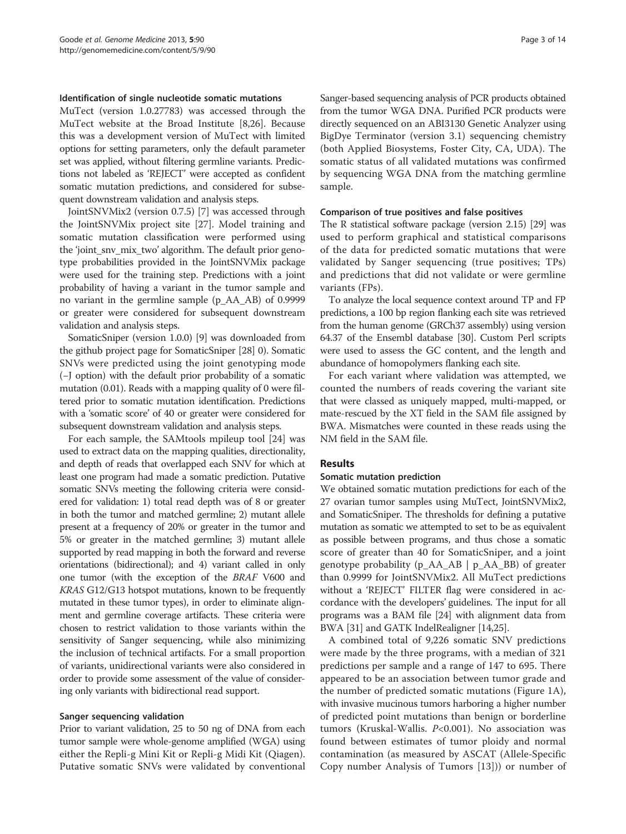#### Identification of single nucleotide somatic mutations

MuTect (version 1.0.27783) was accessed through the MuTect website at the Broad Institute [[8,26\]](#page-12-0). Because this was a development version of MuTect with limited options for setting parameters, only the default parameter set was applied, without filtering germline variants. Predictions not labeled as 'REJECT' were accepted as confident somatic mutation predictions, and considered for subsequent downstream validation and analysis steps.

JointSNVMix2 (version 0.7.5) [\[7](#page-12-0)] was accessed through the JointSNVMix project site [[27](#page-12-0)]. Model training and somatic mutation classification were performed using the 'joint sny mix two' algorithm. The default prior genotype probabilities provided in the JointSNVMix package were used for the training step. Predictions with a joint probability of having a variant in the tumor sample and no variant in the germline sample (p\_AA\_AB) of 0.9999 or greater were considered for subsequent downstream validation and analysis steps.

SomaticSniper (version 1.0.0) [\[9](#page-12-0)] was downloaded from the github project page for SomaticSniper [\[28\]](#page-12-0) 0). Somatic SNVs were predicted using the joint genotyping mode (−J option) with the default prior probability of a somatic mutation (0.01). Reads with a mapping quality of 0 were filtered prior to somatic mutation identification. Predictions with a 'somatic score' of 40 or greater were considered for subsequent downstream validation and analysis steps.

For each sample, the SAMtools mpileup tool [[24\]](#page-12-0) was used to extract data on the mapping qualities, directionality, and depth of reads that overlapped each SNV for which at least one program had made a somatic prediction. Putative somatic SNVs meeting the following criteria were considered for validation: 1) total read depth was of 8 or greater in both the tumor and matched germline; 2) mutant allele present at a frequency of 20% or greater in the tumor and 5% or greater in the matched germline; 3) mutant allele supported by read mapping in both the forward and reverse orientations (bidirectional); and 4) variant called in only one tumor (with the exception of the BRAF V600 and KRAS G12/G13 hotspot mutations, known to be frequently mutated in these tumor types), in order to eliminate alignment and germline coverage artifacts. These criteria were chosen to restrict validation to those variants within the sensitivity of Sanger sequencing, while also minimizing the inclusion of technical artifacts. For a small proportion of variants, unidirectional variants were also considered in order to provide some assessment of the value of considering only variants with bidirectional read support.

#### Sanger sequencing validation

Prior to variant validation, 25 to 50 ng of DNA from each tumor sample were whole-genome amplified (WGA) using either the Repli-g Mini Kit or Repli-g Midi Kit (Qiagen). Putative somatic SNVs were validated by conventional Sanger-based sequencing analysis of PCR products obtained from the tumor WGA DNA. Purified PCR products were directly sequenced on an ABI3130 Genetic Analyzer using BigDye Terminator (version 3.1) sequencing chemistry (both Applied Biosystems, Foster City, CA, UDA). The somatic status of all validated mutations was confirmed by sequencing WGA DNA from the matching germline sample.

#### Comparison of true positives and false positives

The R statistical software package (version 2.15) [\[29](#page-12-0)] was used to perform graphical and statistical comparisons of the data for predicted somatic mutations that were validated by Sanger sequencing (true positives; TPs) and predictions that did not validate or were germline variants (FPs).

To analyze the local sequence context around TP and FP predictions, a 100 bp region flanking each site was retrieved from the human genome (GRCh37 assembly) using version 64.37 of the Ensembl database [\[30\]](#page-12-0). Custom Perl scripts were used to assess the GC content, and the length and abundance of homopolymers flanking each site.

For each variant where validation was attempted, we counted the numbers of reads covering the variant site that were classed as uniquely mapped, multi-mapped, or mate-rescued by the XT field in the SAM file assigned by BWA. Mismatches were counted in these reads using the NM field in the SAM file.

#### Results

# Somatic mutation prediction

We obtained somatic mutation predictions for each of the 27 ovarian tumor samples using MuTect, JointSNVMix2, and SomaticSniper. The thresholds for defining a putative mutation as somatic we attempted to set to be as equivalent as possible between programs, and thus chose a somatic score of greater than 40 for SomaticSniper, and a joint genotype probability (p\_AA\_AB | p\_AA\_BB) of greater than 0.9999 for JointSNVMix2. All MuTect predictions without a 'REJECT' FILTER flag were considered in accordance with the developers' guidelines. The input for all programs was a BAM file [\[24\]](#page-12-0) with alignment data from BWA [[31\]](#page-12-0) and GATK IndelRealigner [\[14,25](#page-12-0)].

A combined total of 9,226 somatic SNV predictions were made by the three programs, with a median of 321 predictions per sample and a range of 147 to 695. There appeared to be an association between tumor grade and the number of predicted somatic mutations (Figure [1](#page-3-0)A), with invasive mucinous tumors harboring a higher number of predicted point mutations than benign or borderline tumors (Kruskal-Wallis.  $P<0.001$ ). No association was found between estimates of tumor ploidy and normal contamination (as measured by ASCAT (Allele-Specific Copy number Analysis of Tumors [[13\]](#page-12-0))) or number of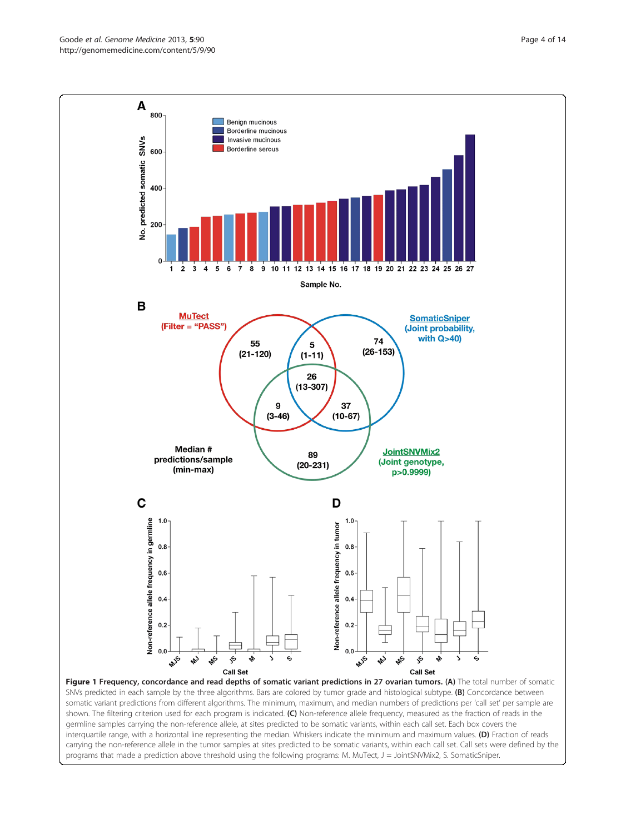<span id="page-3-0"></span>Goode et al. Genome Medicine 2013, 5:90 http://genomemedicine.com/content/5/9/90



somatic variant predictions from different algorithms. The minimum, maximum, and median numbers of predictions per 'call set' per sample are shown. The filtering criterion used for each program is indicated. (C) Non-reference allele frequency, measured as the fraction of reads in the germline samples carrying the non-reference allele, at sites predicted to be somatic variants, within each call set. Each box covers the interquartile range, with a horizontal line representing the median. Whiskers indicate the minimum and maximum values. (D) Fraction of reads carrying the non-reference allele in the tumor samples at sites predicted to be somatic variants, within each call set. Call sets were defined by the programs that made a prediction above threshold using the following programs: M. MuTect, J = JointSNVMix2, S. SomaticSniper.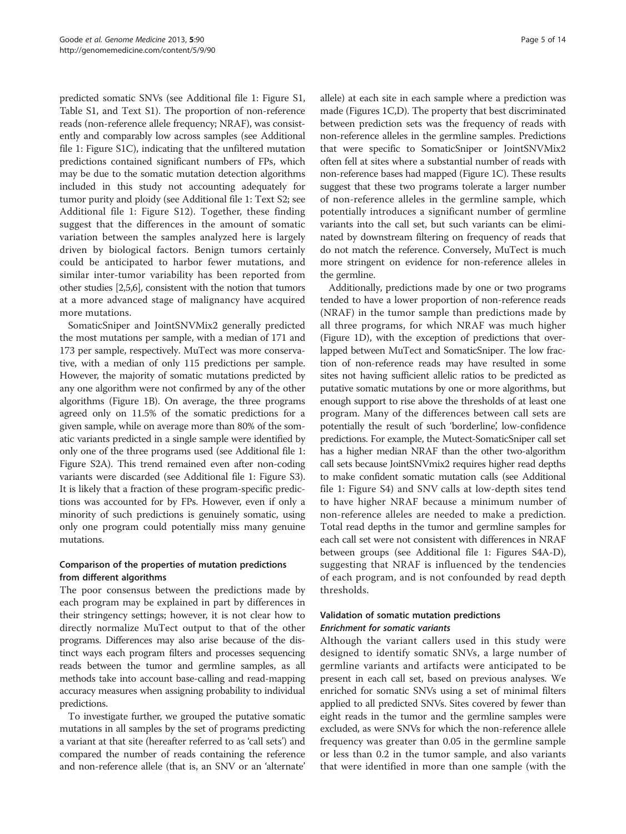predicted somatic SNVs (see Additional file [1](#page-11-0): Figure S1, Table S1, and Text S1). The proportion of non-reference reads (non-reference allele frequency; NRAF), was consistently and comparably low across samples (see Additional file [1:](#page-11-0) Figure S1C), indicating that the unfiltered mutation predictions contained significant numbers of FPs, which may be due to the somatic mutation detection algorithms included in this study not accounting adequately for tumor purity and ploidy (see Additional file [1:](#page-11-0) Text S2; see Additional file [1:](#page-11-0) Figure S12). Together, these finding suggest that the differences in the amount of somatic variation between the samples analyzed here is largely driven by biological factors. Benign tumors certainly could be anticipated to harbor fewer mutations, and similar inter-tumor variability has been reported from other studies [[2,5,6\]](#page-12-0), consistent with the notion that tumors at a more advanced stage of malignancy have acquired more mutations.

SomaticSniper and JointSNVMix2 generally predicted the most mutations per sample, with a median of 171 and 173 per sample, respectively. MuTect was more conservative, with a median of only 115 predictions per sample. However, the majority of somatic mutations predicted by any one algorithm were not confirmed by any of the other algorithms (Figure [1](#page-3-0)B). On average, the three programs agreed only on 11.5% of the somatic predictions for a given sample, while on average more than 80% of the somatic variants predicted in a single sample were identified by only one of the three programs used (see Additional file [1](#page-11-0): Figure S2A). This trend remained even after non-coding variants were discarded (see Additional file [1](#page-11-0): Figure S3). It is likely that a fraction of these program-specific predictions was accounted for by FPs. However, even if only a minority of such predictions is genuinely somatic, using only one program could potentially miss many genuine mutations.

# Comparison of the properties of mutation predictions from different algorithms

The poor consensus between the predictions made by each program may be explained in part by differences in their stringency settings; however, it is not clear how to directly normalize MuTect output to that of the other programs. Differences may also arise because of the distinct ways each program filters and processes sequencing reads between the tumor and germline samples, as all methods take into account base-calling and read-mapping accuracy measures when assigning probability to individual predictions.

To investigate further, we grouped the putative somatic mutations in all samples by the set of programs predicting a variant at that site (hereafter referred to as 'call sets') and compared the number of reads containing the reference and non-reference allele (that is, an SNV or an 'alternate'

allele) at each site in each sample where a prediction was made (Figures [1C](#page-3-0),D). The property that best discriminated between prediction sets was the frequency of reads with non-reference alleles in the germline samples. Predictions that were specific to SomaticSniper or JointSNVMix2 often fell at sites where a substantial number of reads with non-reference bases had mapped (Figure [1](#page-3-0)C). These results suggest that these two programs tolerate a larger number of non-reference alleles in the germline sample, which potentially introduces a significant number of germline variants into the call set, but such variants can be eliminated by downstream filtering on frequency of reads that do not match the reference. Conversely, MuTect is much more stringent on evidence for non-reference alleles in the germline.

Additionally, predictions made by one or two programs tended to have a lower proportion of non-reference reads (NRAF) in the tumor sample than predictions made by all three programs, for which NRAF was much higher (Figure [1D](#page-3-0)), with the exception of predictions that overlapped between MuTect and SomaticSniper. The low fraction of non-reference reads may have resulted in some sites not having sufficient allelic ratios to be predicted as putative somatic mutations by one or more algorithms, but enough support to rise above the thresholds of at least one program. Many of the differences between call sets are potentially the result of such 'borderline', low-confidence predictions. For example, the Mutect-SomaticSniper call set has a higher median NRAF than the other two-algorithm call sets because JointSNVmix2 requires higher read depths to make confident somatic mutation calls (see Additional file [1:](#page-11-0) Figure S4) and SNV calls at low-depth sites tend to have higher NRAF because a minimum number of non-reference alleles are needed to make a prediction. Total read depths in the tumor and germline samples for each call set were not consistent with differences in NRAF between groups (see Additional file [1](#page-11-0): Figures S4A-D), suggesting that NRAF is influenced by the tendencies of each program, and is not confounded by read depth thresholds.

# Validation of somatic mutation predictions Enrichment for somatic variants

Although the variant callers used in this study were designed to identify somatic SNVs, a large number of germline variants and artifacts were anticipated to be present in each call set, based on previous analyses. We enriched for somatic SNVs using a set of minimal filters applied to all predicted SNVs. Sites covered by fewer than eight reads in the tumor and the germline samples were excluded, as were SNVs for which the non-reference allele frequency was greater than 0.05 in the germline sample or less than 0.2 in the tumor sample, and also variants that were identified in more than one sample (with the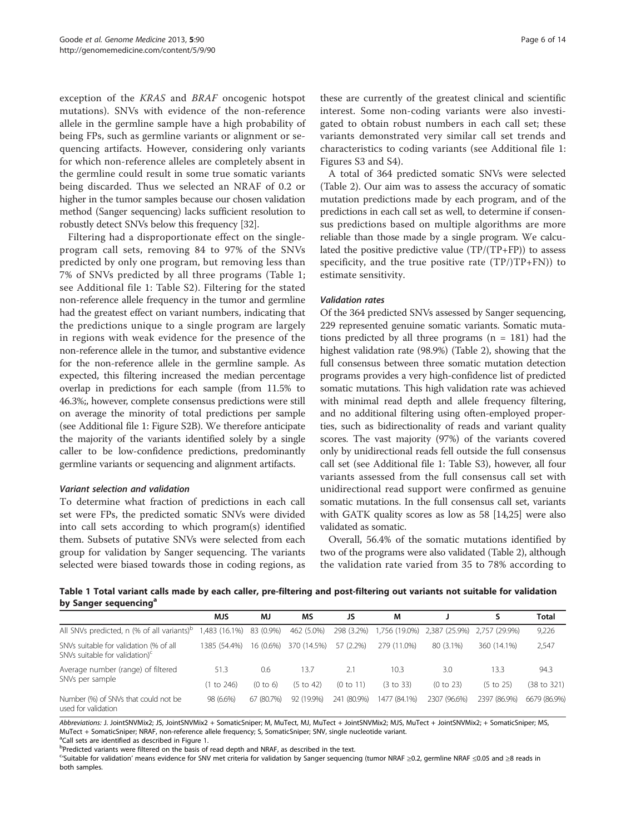exception of the KRAS and BRAF oncogenic hotspot mutations). SNVs with evidence of the non-reference allele in the germline sample have a high probability of being FPs, such as germline variants or alignment or sequencing artifacts. However, considering only variants for which non-reference alleles are completely absent in the germline could result in some true somatic variants being discarded. Thus we selected an NRAF of 0.2 or higher in the tumor samples because our chosen validation method (Sanger sequencing) lacks sufficient resolution to robustly detect SNVs below this frequency [[32](#page-12-0)].

Filtering had a disproportionate effect on the singleprogram call sets, removing 84 to 97% of the SNVs predicted by only one program, but removing less than 7% of SNVs predicted by all three programs (Table 1; see Additional file [1:](#page-11-0) Table S2). Filtering for the stated non-reference allele frequency in the tumor and germline had the greatest effect on variant numbers, indicating that the predictions unique to a single program are largely in regions with weak evidence for the presence of the non-reference allele in the tumor, and substantive evidence for the non-reference allele in the germline sample. As expected, this filtering increased the median percentage overlap in predictions for each sample (from 11.5% to 46.3%;, however, complete consensus predictions were still on average the minority of total predictions per sample (see Additional file [1:](#page-11-0) Figure S2B). We therefore anticipate the majority of the variants identified solely by a single caller to be low-confidence predictions, predominantly germline variants or sequencing and alignment artifacts.

#### Variant selection and validation

To determine what fraction of predictions in each call set were FPs, the predicted somatic SNVs were divided into call sets according to which program(s) identified them. Subsets of putative SNVs were selected from each group for validation by Sanger sequencing. The variants selected were biased towards those in coding regions, as

these are currently of the greatest clinical and scientific interest. Some non-coding variants were also investigated to obtain robust numbers in each call set; these variants demonstrated very similar call set trends and characteristics to coding variants (see Additional file [1](#page-11-0): Figures S3 and S4).

A total of 364 predicted somatic SNVs were selected (Table [2](#page-6-0)). Our aim was to assess the accuracy of somatic mutation predictions made by each program, and of the predictions in each call set as well, to determine if consensus predictions based on multiple algorithms are more reliable than those made by a single program. We calculated the positive predictive value  $(TP/(TP+FP))$  to assess specificity, and the true positive rate  $(TP)/TP+FN$ ) to estimate sensitivity.

#### Validation rates

Of the 364 predicted SNVs assessed by Sanger sequencing, 229 represented genuine somatic variants. Somatic mutations predicted by all three programs  $(n = 181)$  had the highest validation rate (98.9%) (Table [2](#page-6-0)), showing that the full consensus between three somatic mutation detection programs provides a very high-confidence list of predicted somatic mutations. This high validation rate was achieved with minimal read depth and allele frequency filtering, and no additional filtering using often-employed properties, such as bidirectionality of reads and variant quality scores. The vast majority (97%) of the variants covered only by unidirectional reads fell outside the full consensus call set (see Additional file [1](#page-11-0): Table S3), however, all four variants assessed from the full consensus call set with unidirectional read support were confirmed as genuine somatic mutations. In the full consensus call set, variants with GATK quality scores as low as 58 [\[14,25\]](#page-12-0) were also validated as somatic.

Overall, 56.4% of the somatic mutations identified by two of the programs were also validated (Table [2](#page-6-0)), although the validation rate varied from 35 to 78% according to

Table 1 Total variant calls made by each caller, pre-filtering and post-filtering out variants not suitable for validation by Sanger sequencing<sup>a</sup>

|                                                                                      | <b>MJS</b>             | MJ         | MS                   | JS          | M             |                             |                      | Total        |
|--------------------------------------------------------------------------------------|------------------------|------------|----------------------|-------------|---------------|-----------------------------|----------------------|--------------|
| All SNVs predicted, n (% of all variants) <sup>b</sup>                               | (483 (16.1%) 83 (0.9%) |            | 462 (5.0%)           | 298 (3.2%)  | 1,756 (19.0%) | 2,387 (25.9%) 2,757 (29.9%) |                      | 9,226        |
| SNVs suitable for validation (% of all<br>SNVs suitable for validation) <sup>c</sup> | 1385 (54.4%)           | 16 (0.6%)  | 370 (14.5%)          | 57 (2.2%)   | 279 (11.0%)   | 80 (3.1%)                   | 360 (14.1%)          | 2,547        |
| Average number (range) of filtered<br>SNVs per sample                                | 51.3                   | 0.6        | 13.7                 |             | 10.3          | 3.0                         | 13.3                 | 94.3         |
|                                                                                      | (1 to 246)             | (0 to 6)   | $(5 \text{ to } 42)$ | (0 to 11)   | (3 to 33)     | (0 to 23)                   | $(5 \text{ to } 25)$ | (38 to 321)  |
| Number (%) of SNVs that could not be<br>used for validation                          | 98 (6.6%)              | 67 (80.7%) | 92 (19.9%)           | 241 (80.9%) | 1477 (84.1%)  | 2307 (96.6%)                | 2397 (86.9%)         | 6679 (86.9%) |

Abbreviations: J. JointSNVMix2; JS, JointSNVMix2 + SomaticSniper; M, MuTect, MJ, MuTect + JointSNVMix2; MJS, MuTect + JointSNVMix2; + SomaticSniper; MS, MuTect + SomaticSniper; NRAF, non-reference allele frequency; S, SomaticSniper; SNV, single nucleotide variant.

<sup>a</sup>Call sets are identified as described in Figure [1](#page-3-0).<br>**bProdicted variants were filtered on the basis of** 

<sup>b</sup>Predicted variants were filtered on the basis of read depth and NRAF, as described in the text.

<sup>c</sup>'Suitable for validation' means evidence for SNV met criteria for validation by Sanger sequencing (tumor NRAF ≥0.2, germline NRAF ≤0.05 and ≥8 reads in both samples.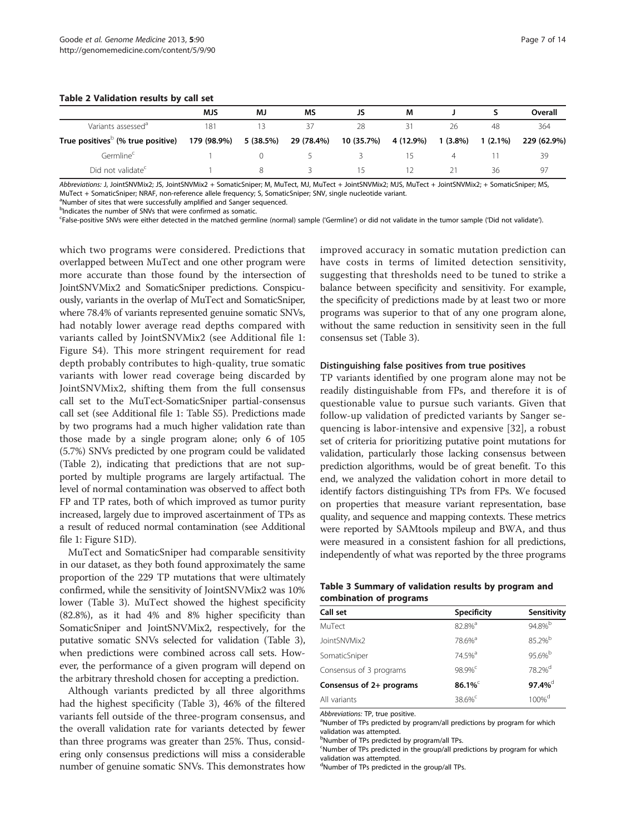<span id="page-6-0"></span>

|  | Table 2 Validation results by call set |  |  |  |  |
|--|----------------------------------------|--|--|--|--|
|--|----------------------------------------|--|--|--|--|

|                                               | <b>MJS</b>  | MJ        | ΜS         | JS         | М         |            |            | Overall     |
|-----------------------------------------------|-------------|-----------|------------|------------|-----------|------------|------------|-------------|
| Variants assessed <sup>®</sup>                | 181         |           | 37         | 28         | 31        | 26         | 48         | 364         |
| True positives <sup>D</sup> (% true positive) | 179 (98.9%) | 5 (38.5%) | 29 (78.4%) | 10 (35.7%) | 4 (12.9%) | $1(3.8\%)$ | $1(2.1\%)$ | 229 (62.9%) |
| Germline <sup>c</sup>                         |             |           |            |            |           |            |            | 39          |
| Did not validate <sup>c</sup>                 |             |           |            | 15         |           |            | 36         | -97         |

Abbreviations: J, JointSNVMix2; JS, JointSNVMix2 + SomaticSniper; M, MuTect, MJ, MuTect + JointSNVMix2; MJS, MuTect + JointSNVMix2; + SomaticSniper; MS, MuTect + SomaticSniper; NRAF, non-reference allele frequency; S, SomaticSniper; SNV, single nucleotide variant.

<sup>a</sup>Number of sites that were successfully amplified and Sanger sequenced.

<sup>b</sup>Indicates the number of SNVs that were confirmed as somatic.

c False-positive SNVs were either detected in the matched germline (normal) sample ('Germline') or did not validate in the tumor sample ('Did not validate').

which two programs were considered. Predictions that overlapped between MuTect and one other program were more accurate than those found by the intersection of JointSNVMix2 and SomaticSniper predictions. Conspicuously, variants in the overlap of MuTect and SomaticSniper, where 78.4% of variants represented genuine somatic SNVs, had notably lower average read depths compared with variants called by JointSNVMix2 (see Additional file [1](#page-11-0): Figure S4). This more stringent requirement for read depth probably contributes to high-quality, true somatic variants with lower read coverage being discarded by JointSNVMix2, shifting them from the full consensus call set to the MuTect-SomaticSniper partial-consensus call set (see Additional file [1](#page-11-0): Table S5). Predictions made by two programs had a much higher validation rate than those made by a single program alone; only 6 of 105 (5.7%) SNVs predicted by one program could be validated (Table 2), indicating that predictions that are not supported by multiple programs are largely artifactual. The level of normal contamination was observed to affect both FP and TP rates, both of which improved as tumor purity increased, largely due to improved ascertainment of TPs as a result of reduced normal contamination (see Additional file [1:](#page-11-0) Figure S1D).

MuTect and SomaticSniper had comparable sensitivity in our dataset, as they both found approximately the same proportion of the 229 TP mutations that were ultimately confirmed, while the sensitivity of JointSNVMix2 was 10% lower (Table 3). MuTect showed the highest specificity (82.8%), as it had 4% and 8% higher specificity than SomaticSniper and JointSNVMix2, respectively, for the putative somatic SNVs selected for validation (Table 3), when predictions were combined across call sets. However, the performance of a given program will depend on the arbitrary threshold chosen for accepting a prediction.

Although variants predicted by all three algorithms had the highest specificity (Table 3), 46% of the filtered variants fell outside of the three-program consensus, and the overall validation rate for variants detected by fewer than three programs was greater than 25%. Thus, considering only consensus predictions will miss a considerable number of genuine somatic SNVs. This demonstrates how

improved accuracy in somatic mutation prediction can have costs in terms of limited detection sensitivity, suggesting that thresholds need to be tuned to strike a balance between specificity and sensitivity. For example, the specificity of predictions made by at least two or more programs was superior to that of any one program alone, without the same reduction in sensitivity seen in the full consensus set (Table 3).

#### Distinguishing false positives from true positives

TP variants identified by one program alone may not be readily distinguishable from FPs, and therefore it is of questionable value to pursue such variants. Given that follow-up validation of predicted variants by Sanger sequencing is labor-intensive and expensive [[32\]](#page-12-0), a robust set of criteria for prioritizing putative point mutations for validation, particularly those lacking consensus between prediction algorithms, would be of great benefit. To this end, we analyzed the validation cohort in more detail to identify factors distinguishing TPs from FPs. We focused on properties that measure variant representation, base quality, and sequence and mapping contexts. These metrics were reported by SAMtools mpileup and BWA, and thus were measured in a consistent fashion for all predictions, independently of what was reported by the three programs

#### Table 3 Summary of validation results by program and combination of programs

| Call set                 | <b>Specificity</b> | Sensitivity        |
|--------------------------|--------------------|--------------------|
| MuTect                   | 82.8% <sup>a</sup> | 94.8%b             |
| JointSNVMix2             | 78.6% <sup>a</sup> | 85.2%b             |
| SomaticSniper            | 74.5% <sup>a</sup> | 95.6%              |
| Consensus of 3 programs  | 98.9% <sup>c</sup> | 78.2% <sup>d</sup> |
| Consensus of 2+ programs | 86.1%              | 97.4% <sup>d</sup> |
| All variants             | 38.6% <sup>c</sup> | 100% <sup>d</sup>  |

Abbreviations: TP, true positive.

<sup>a</sup>Number of TPs predicted by program/all predictions by program for which validation was attempted.

**b**Number of TPs predicted by program/all TPs.

<sup>c</sup>Number of TPs predicted in the group/all predictions by program for which validation was attempted.

dNumber of TPs predicted in the group/all TPs.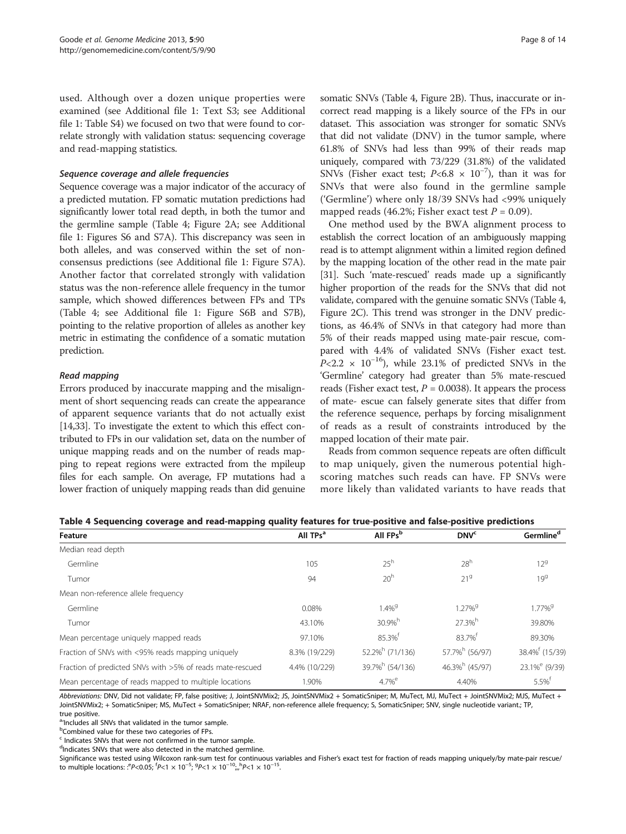<span id="page-7-0"></span>used. Although over a dozen unique properties were examined (see Additional file [1:](#page-11-0) Text S3; see Additional file [1](#page-11-0): Table S4) we focused on two that were found to correlate strongly with validation status: sequencing coverage and read-mapping statistics.

# Sequence coverage and allele frequencies

Sequence coverage was a major indicator of the accuracy of a predicted mutation. FP somatic mutation predictions had significantly lower total read depth, in both the tumor and the germline sample (Table 4; Figure [2A](#page-8-0); see Additional file [1](#page-11-0): Figures S6 and S7A). This discrepancy was seen in both alleles, and was conserved within the set of nonconsensus predictions (see Additional file [1](#page-11-0): Figure S7A). Another factor that correlated strongly with validation status was the non-reference allele frequency in the tumor sample, which showed differences between FPs and TPs (Table 4; see Additional file [1:](#page-11-0) Figure S6B and S7B), pointing to the relative proportion of alleles as another key metric in estimating the confidence of a somatic mutation prediction.

# Read mapping

Errors produced by inaccurate mapping and the misalignment of short sequencing reads can create the appearance of apparent sequence variants that do not actually exist [[14,33\]](#page-12-0). To investigate the extent to which this effect contributed to FPs in our validation set, data on the number of unique mapping reads and on the number of reads mapping to repeat regions were extracted from the mpileup files for each sample. On average, FP mutations had a lower fraction of uniquely mapping reads than did genuine

somatic SNVs (Table 4, Figure [2](#page-8-0)B). Thus, inaccurate or incorrect read mapping is a likely source of the FPs in our dataset. This association was stronger for somatic SNVs that did not validate (DNV) in the tumor sample, where 61.8% of SNVs had less than 99% of their reads map uniquely, compared with 73/229 (31.8%) of the validated SNVs (Fisher exact test;  $P<6.8 \times 10^{-7}$ ), than it was for SNVs that were also found in the germline sample ('Germline') where only 18/39 SNVs had <99% uniquely mapped reads (46.2%; Fisher exact test  $P = 0.09$ ).

One method used by the BWA alignment process to establish the correct location of an ambiguously mapping read is to attempt alignment within a limited region defined by the mapping location of the other read in the mate pair [[31](#page-12-0)]. Such 'mate-rescued' reads made up a significantly higher proportion of the reads for the SNVs that did not validate, compared with the genuine somatic SNVs (Table 4, Figure [2C](#page-8-0)). This trend was stronger in the DNV predictions, as 46.4% of SNVs in that category had more than 5% of their reads mapped using mate-pair rescue, compared with 4.4% of validated SNVs (Fisher exact test.  $P<2.2 \times 10^{-16}$ ), while 23.1% of predicted SNVs in the 'Germline' category had greater than 5% mate-rescued reads (Fisher exact test,  $P = 0.0038$ ). It appears the process of mate- escue can falsely generate sites that differ from the reference sequence, perhaps by forcing misalignment of reads as a result of constraints introduced by the mapped location of their mate pair.

Reads from common sequence repeats are often difficult to map uniquely, given the numerous potential highscoring matches such reads can have. FP SNVs were more likely than validated variants to have reads that

| Table 4 Sequencing coverage and read-mapping quality features for true-positive and false-positive predictions |  |  |  |
|----------------------------------------------------------------------------------------------------------------|--|--|--|
|----------------------------------------------------------------------------------------------------------------|--|--|--|

| Feature                                                   | All TPs <sup>a</sup> | All FPs <sup>b</sup>           | <b>DNV<sup>c</sup></b>        | Germline <sup>d</sup>        |
|-----------------------------------------------------------|----------------------|--------------------------------|-------------------------------|------------------------------|
| Median read depth                                         |                      |                                |                               |                              |
| Germline                                                  | 105                  | $25^h$                         | 28 <sup>h</sup>               | $12^{9}$                     |
| Tumor                                                     | 94                   | 20 <sup>h</sup>                | 21 <sup>9</sup>               | 19 <sup>9</sup>              |
| Mean non-reference allele frequency                       |                      |                                |                               |                              |
| Germline                                                  | 0.08%                | $1.4\%$ <sup>9</sup>           | 1.27% <sup>9</sup>            | $1.77\%$ <sup>9</sup>        |
| Tumor                                                     | 43.10%               | $30.9\%$ <sup>h</sup>          | 27.3%h                        | 39.80%                       |
| Mean percentage uniquely mapped reads                     | 97.10%               | 85.3% <sup>t</sup>             | 83.7% <sup>t</sup>            | 89.30%                       |
| Fraction of SNVs with <95% reads mapping uniquely         | 8.3% (19/229)        | $52.2\%$ <sup>h</sup> (71/136) | 57.7% <sup>h</sup> (56/97)    | 38.4% <sup>f</sup> (15/39)   |
| Fraction of predicted SNVs with >5% of reads mate-rescued | 4.4% (10/229)        | 39.7% <sup>h</sup> (54/136)    | $46.3\%$ <sup>h</sup> (45/97) | $23.1\%$ <sup>e</sup> (9/39) |
| Mean percentage of reads mapped to multiple locations     | 1.90%                | $4.7%$ <sup>e</sup>            | 4.40%                         | $5.5\%$ <sup>†</sup>         |

Abbreviations: DNV, Did not validate; FP, false positive; J, JointSNVMix2; JS, JointSNVMix2 + SomaticSniper; M, MuTect, MJ, MuTect + JointSNVMix2; MJS, MuTect + JointSNVMix2; + SomaticSniper; MS, MuTect + SomaticSniper; NRAF, non-reference allele frequency; S, SomaticSniper; SNV, single nucleotide variant.; TP, true positive.

a'Includes all SNVs that validated in the tumor sample.

<sup>b</sup>Combined value for these two categories of FPs.

 $c$  Indicates SNVs that were not confirmed in the tumor sample.

<sup>d</sup>Indicates SNVs that were also detected in the matched germline.

Significance was tested using Wilcoxon rank-sum test for continuous variables and Fisher's exact test for fraction of reads mapping uniquely/by mate-pair rescue/ to multiple locations: :<sup>e</sup>P<0.05;  ${}^{f}P$  <1 × 10<sup>-5</sup>;  ${}^{g}P$  <1 × 10<sup>-10</sup><sub>iii</sub><sup>h</sup>P <1 × 10<sup>-15</sup>.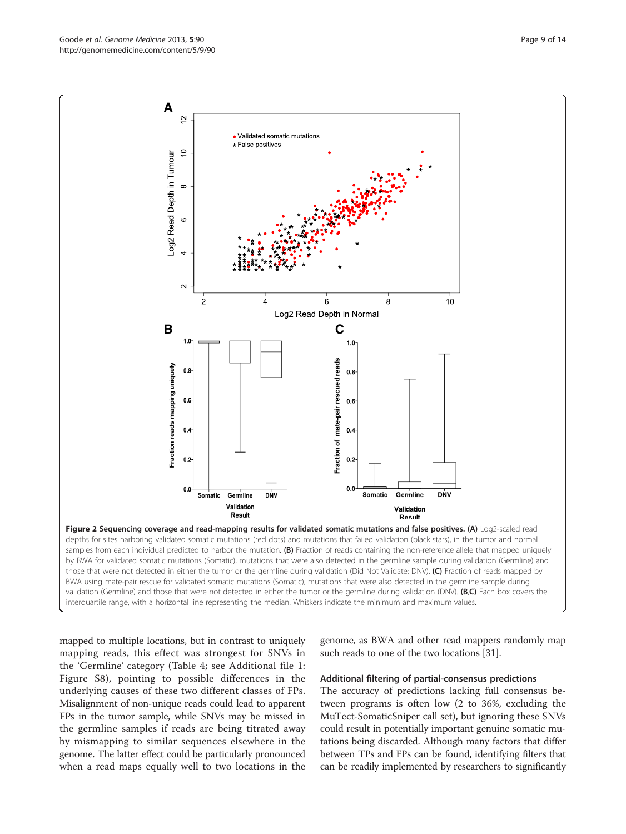mapped to multiple locations, but in contrast to uniquely mapping reads, this effect was strongest for SNVs in the 'Germline' category (Table [4](#page-7-0); see Additional file [1](#page-11-0): Figure S8), pointing to possible differences in the underlying causes of these two different classes of FPs. Misalignment of non-unique reads could lead to apparent FPs in the tumor sample, while SNVs may be missed in the germline samples if reads are being titrated away by mismapping to similar sequences elsewhere in the genome. The latter effect could be particularly pronounced when a read maps equally well to two locations in the

genome, as BWA and other read mappers randomly map such reads to one of the two locations [\[31\]](#page-12-0).

#### Additional filtering of partial-consensus predictions

The accuracy of predictions lacking full consensus between programs is often low (2 to 36%, excluding the MuTect-SomaticSniper call set), but ignoring these SNVs could result in potentially important genuine somatic mutations being discarded. Although many factors that differ between TPs and FPs can be found, identifying filters that can be readily implemented by researchers to significantly

<span id="page-8-0"></span>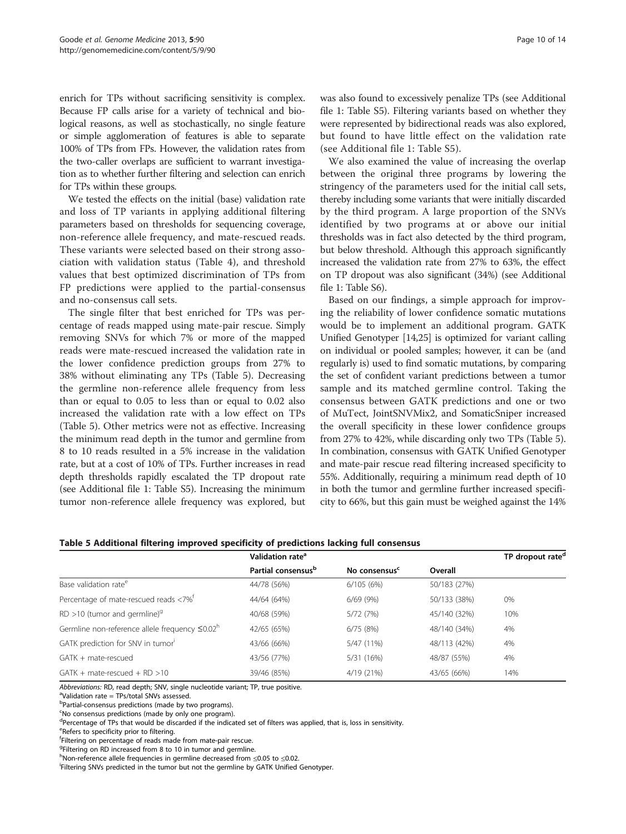<span id="page-9-0"></span>enrich for TPs without sacrificing sensitivity is complex. Because FP calls arise for a variety of technical and biological reasons, as well as stochastically, no single feature or simple agglomeration of features is able to separate 100% of TPs from FPs. However, the validation rates from the two-caller overlaps are sufficient to warrant investigation as to whether further filtering and selection can enrich for TPs within these groups.

We tested the effects on the initial (base) validation rate and loss of TP variants in applying additional filtering parameters based on thresholds for sequencing coverage, non-reference allele frequency, and mate-rescued reads. These variants were selected based on their strong association with validation status (Table [4](#page-7-0)), and threshold values that best optimized discrimination of TPs from FP predictions were applied to the partial-consensus and no-consensus call sets.

The single filter that best enriched for TPs was percentage of reads mapped using mate-pair rescue. Simply removing SNVs for which 7% or more of the mapped reads were mate-rescued increased the validation rate in the lower confidence prediction groups from 27% to 38% without eliminating any TPs (Table 5). Decreasing the germline non-reference allele frequency from less than or equal to 0.05 to less than or equal to 0.02 also increased the validation rate with a low effect on TPs (Table 5). Other metrics were not as effective. Increasing the minimum read depth in the tumor and germline from 8 to 10 reads resulted in a 5% increase in the validation rate, but at a cost of 10% of TPs. Further increases in read depth thresholds rapidly escalated the TP dropout rate (see Additional file [1](#page-11-0): Table S5). Increasing the minimum tumor non-reference allele frequency was explored, but

was also found to excessively penalize TPs (see Additional file [1](#page-11-0): Table S5). Filtering variants based on whether they were represented by bidirectional reads was also explored, but found to have little effect on the validation rate (see Additional file [1](#page-11-0): Table S5).

We also examined the value of increasing the overlap between the original three programs by lowering the stringency of the parameters used for the initial call sets, thereby including some variants that were initially discarded by the third program. A large proportion of the SNVs identified by two programs at or above our initial thresholds was in fact also detected by the third program, but below threshold. Although this approach significantly increased the validation rate from 27% to 63%, the effect on TP dropout was also significant (34%) (see Additional file [1](#page-11-0): Table S6).

Based on our findings, a simple approach for improving the reliability of lower confidence somatic mutations would be to implement an additional program. GATK Unified Genotyper [\[14,25\]](#page-12-0) is optimized for variant calling on individual or pooled samples; however, it can be (and regularly is) used to find somatic mutations, by comparing the set of confident variant predictions between a tumor sample and its matched germline control. Taking the consensus between GATK predictions and one or two of MuTect, JointSNVMix2, and SomaticSniper increased the overall specificity in these lower confidence groups from 27% to 42%, while discarding only two TPs (Table 5). In combination, consensus with GATK Unified Genotyper and mate-pair rescue read filtering increased specificity to 55%. Additionally, requiring a minimum read depth of 10 in both the tumor and germline further increased specificity to 66%, but this gain must be weighed against the 14%

|                                                       | Validation rate <sup>a</sup>   |                           |              | TP dropout rate <sup>d</sup> |  |
|-------------------------------------------------------|--------------------------------|---------------------------|--------------|------------------------------|--|
|                                                       | Partial consensus <sup>b</sup> | No consensus <sup>c</sup> | Overall      |                              |  |
| Base validation rate <sup>e</sup>                     | 44/78 (56%)                    | 6/105(6%)                 | 50/183 (27%) |                              |  |
| Percentage of mate-rescued reads <7% <sup>t</sup>     | 44/64 (64%)                    | 6/69(9%)                  | 50/133 (38%) | 0%                           |  |
| $RD > 10$ (tumor and germline) <sup>9</sup>           | 40/68 (59%)                    | 5/72(7%)                  | 45/140 (32%) | 10%                          |  |
| Germline non-reference allele frequency $\leq 0.02^h$ | 42/65 (65%)                    | 6/75(8%)                  | 48/140 (34%) | 4%                           |  |
| GATK prediction for SNV in tumor                      | 43/66 (66%)                    | 5/47 (11%)                | 48/113 (42%) | 4%                           |  |
| GATK + mate-rescued                                   | 43/56 (77%)                    | 5/31 (16%)                | 48/87 (55%)  | 4%                           |  |
| $GATK + mate-rescued + RD > 10$                       | 39/46 (85%)                    | 4/19 (21%)                | 43/65 (66%)  | 14%                          |  |

| Table 5 Additional filtering improved specificity of predictions lacking full consensus |  |  |  |  |  |
|-----------------------------------------------------------------------------------------|--|--|--|--|--|
|-----------------------------------------------------------------------------------------|--|--|--|--|--|

Abbreviations: RD, read depth; SNV, single nucleotide variant; TP, true positive.

Validation rate = TPs/total SNVs assessed.

<sup>b</sup>Partial-consensus predictions (made by two programs).

<sup>c</sup>No consensus predictions (made by only one program).

<sup>d</sup>Percentage of TPs that would be discarded if the indicated set of filters was applied, that is, loss in sensitivity.

e<br>Refers to specificity prior to filtering.

f Filtering on percentage of reads made from mate-pair rescue.

<sup>g</sup>Filtering on RD increased from 8 to 10 in tumor and germline.

h<br>Non-reference allele frequencies in germline decreased from ≤0.05 to ≤0.02.<br>Filtering SNVs predicted in the tumor but not the germline by GATK Unified

Filtering SNVs predicted in the tumor but not the germline by GATK Unified Genotyper.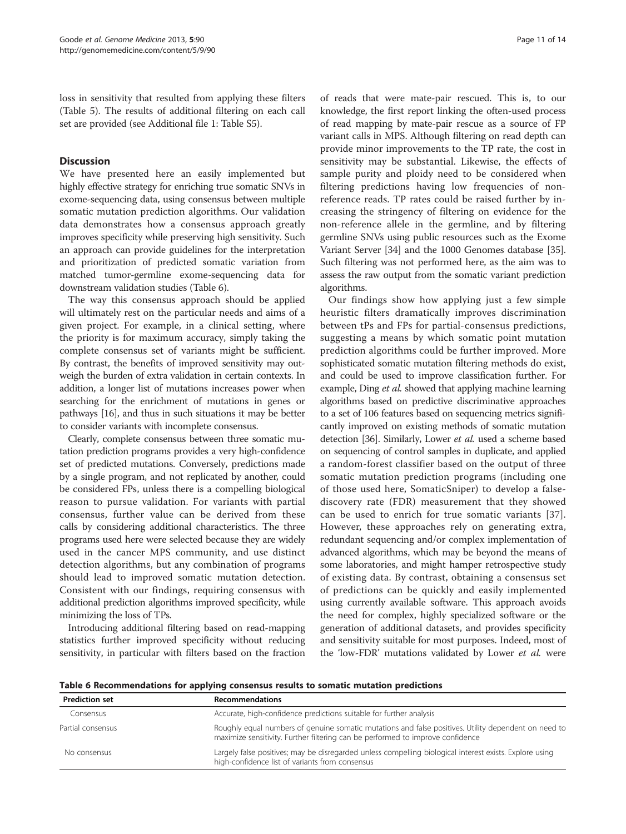loss in sensitivity that resulted from applying these filters (Table [5](#page-9-0)). The results of additional filtering on each call set are provided (see Additional file [1:](#page-11-0) Table S5).

# **Discussion**

We have presented here an easily implemented but highly effective strategy for enriching true somatic SNVs in exome-sequencing data, using consensus between multiple somatic mutation prediction algorithms. Our validation data demonstrates how a consensus approach greatly improves specificity while preserving high sensitivity. Such an approach can provide guidelines for the interpretation and prioritization of predicted somatic variation from matched tumor-germline exome-sequencing data for downstream validation studies (Table 6).

The way this consensus approach should be applied will ultimately rest on the particular needs and aims of a given project. For example, in a clinical setting, where the priority is for maximum accuracy, simply taking the complete consensus set of variants might be sufficient. By contrast, the benefits of improved sensitivity may outweigh the burden of extra validation in certain contexts. In addition, a longer list of mutations increases power when searching for the enrichment of mutations in genes or pathways [\[16\]](#page-12-0), and thus in such situations it may be better to consider variants with incomplete consensus.

Clearly, complete consensus between three somatic mutation prediction programs provides a very high-confidence set of predicted mutations. Conversely, predictions made by a single program, and not replicated by another, could be considered FPs, unless there is a compelling biological reason to pursue validation. For variants with partial consensus, further value can be derived from these calls by considering additional characteristics. The three programs used here were selected because they are widely used in the cancer MPS community, and use distinct detection algorithms, but any combination of programs should lead to improved somatic mutation detection. Consistent with our findings, requiring consensus with additional prediction algorithms improved specificity, while minimizing the loss of TPs.

Introducing additional filtering based on read-mapping statistics further improved specificity without reducing sensitivity, in particular with filters based on the fraction

of reads that were mate-pair rescued. This is, to our knowledge, the first report linking the often-used process of read mapping by mate-pair rescue as a source of FP variant calls in MPS. Although filtering on read depth can provide minor improvements to the TP rate, the cost in sensitivity may be substantial. Likewise, the effects of sample purity and ploidy need to be considered when filtering predictions having low frequencies of nonreference reads. TP rates could be raised further by increasing the stringency of filtering on evidence for the non-reference allele in the germline, and by filtering germline SNVs using public resources such as the Exome Variant Server [\[34\]](#page-12-0) and the 1000 Genomes database [[35](#page-12-0)]. Such filtering was not performed here, as the aim was to assess the raw output from the somatic variant prediction algorithms.

Our findings show how applying just a few simple heuristic filters dramatically improves discrimination between tPs and FPs for partial-consensus predictions, suggesting a means by which somatic point mutation prediction algorithms could be further improved. More sophisticated somatic mutation filtering methods do exist, and could be used to improve classification further. For example, Ding et al. showed that applying machine learning algorithms based on predictive discriminative approaches to a set of 106 features based on sequencing metrics significantly improved on existing methods of somatic mutation detection [\[36\]](#page-13-0). Similarly, Lower et al. used a scheme based on sequencing of control samples in duplicate, and applied a random-forest classifier based on the output of three somatic mutation prediction programs (including one of those used here, SomaticSniper) to develop a falsediscovery rate (FDR) measurement that they showed can be used to enrich for true somatic variants [[37](#page-13-0)]. However, these approaches rely on generating extra, redundant sequencing and/or complex implementation of advanced algorithms, which may be beyond the means of some laboratories, and might hamper retrospective study of existing data. By contrast, obtaining a consensus set of predictions can be quickly and easily implemented using currently available software. This approach avoids the need for complex, highly specialized software or the generation of additional datasets, and provides specificity and sensitivity suitable for most purposes. Indeed, most of the 'low-FDR' mutations validated by Lower *et al.* were

Table 6 Recommendations for applying consensus results to somatic mutation predictions

| <b>Prediction set</b> | <b>Recommendations</b>                                                                                                                                                                 |  |  |  |  |
|-----------------------|----------------------------------------------------------------------------------------------------------------------------------------------------------------------------------------|--|--|--|--|
| Consensus             | Accurate, high-confidence predictions suitable for further analysis                                                                                                                    |  |  |  |  |
| Partial consensus     | Roughly equal numbers of genuine somatic mutations and false positives. Utility dependent on need to<br>maximize sensitivity. Further filtering can be performed to improve confidence |  |  |  |  |
| No consensus          | Largely false positives; may be disregarded unless compelling biological interest exists. Explore using<br>high-confidence list of variants from consensus                             |  |  |  |  |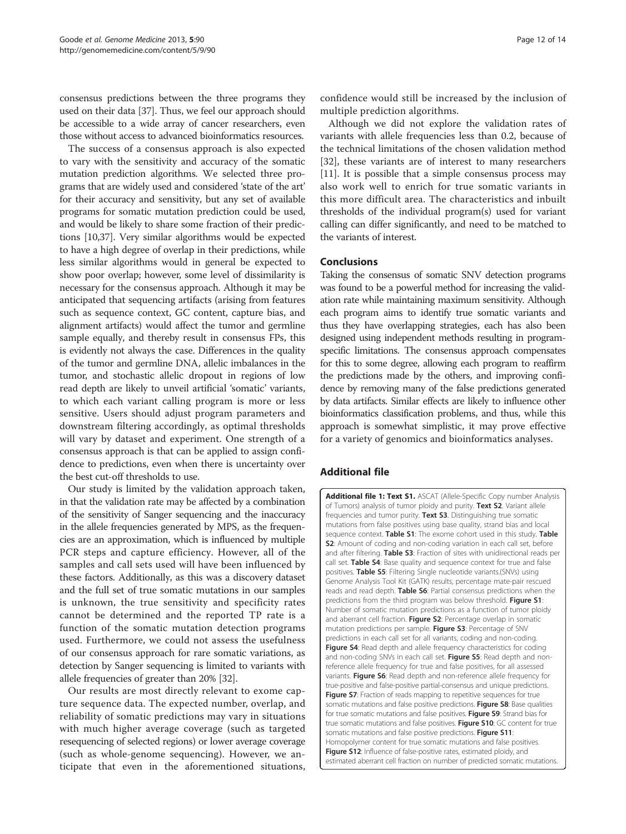<span id="page-11-0"></span>consensus predictions between the three programs they used on their data [[37](#page-13-0)]. Thus, we feel our approach should be accessible to a wide array of cancer researchers, even those without access to advanced bioinformatics resources.

The success of a consensus approach is also expected to vary with the sensitivity and accuracy of the somatic mutation prediction algorithms. We selected three programs that are widely used and considered 'state of the art' for their accuracy and sensitivity, but any set of available programs for somatic mutation prediction could be used, and would be likely to share some fraction of their predictions [\[10,](#page-12-0)[37\]](#page-13-0). Very similar algorithms would be expected to have a high degree of overlap in their predictions, while less similar algorithms would in general be expected to show poor overlap; however, some level of dissimilarity is necessary for the consensus approach. Although it may be anticipated that sequencing artifacts (arising from features such as sequence context, GC content, capture bias, and alignment artifacts) would affect the tumor and germline sample equally, and thereby result in consensus FPs, this is evidently not always the case. Differences in the quality of the tumor and germline DNA, allelic imbalances in the tumor, and stochastic allelic dropout in regions of low read depth are likely to unveil artificial 'somatic' variants, to which each variant calling program is more or less sensitive. Users should adjust program parameters and downstream filtering accordingly, as optimal thresholds will vary by dataset and experiment. One strength of a consensus approach is that can be applied to assign confidence to predictions, even when there is uncertainty over the best cut-off thresholds to use.

Our study is limited by the validation approach taken, in that the validation rate may be affected by a combination of the sensitivity of Sanger sequencing and the inaccuracy in the allele frequencies generated by MPS, as the frequencies are an approximation, which is influenced by multiple PCR steps and capture efficiency. However, all of the samples and call sets used will have been influenced by these factors. Additionally, as this was a discovery dataset and the full set of true somatic mutations in our samples is unknown, the true sensitivity and specificity rates cannot be determined and the reported TP rate is a function of the somatic mutation detection programs used. Furthermore, we could not assess the usefulness of our consensus approach for rare somatic variations, as detection by Sanger sequencing is limited to variants with allele frequencies of greater than 20% [\[32\]](#page-12-0).

Our results are most directly relevant to exome capture sequence data. The expected number, overlap, and reliability of somatic predictions may vary in situations with much higher average coverage (such as targeted resequencing of selected regions) or lower average coverage (such as whole-genome sequencing). However, we anticipate that even in the aforementioned situations, confidence would still be increased by the inclusion of multiple prediction algorithms.

Although we did not explore the validation rates of variants with allele frequencies less than 0.2, because of the technical limitations of the chosen validation method [[32\]](#page-12-0), these variants are of interest to many researchers [[11\]](#page-12-0). It is possible that a simple consensus process may also work well to enrich for true somatic variants in this more difficult area. The characteristics and inbuilt thresholds of the individual program(s) used for variant calling can differ significantly, and need to be matched to the variants of interest.

# **Conclusions**

Taking the consensus of somatic SNV detection programs was found to be a powerful method for increasing the validation rate while maintaining maximum sensitivity. Although each program aims to identify true somatic variants and thus they have overlapping strategies, each has also been designed using independent methods resulting in programspecific limitations. The consensus approach compensates for this to some degree, allowing each program to reaffirm the predictions made by the others, and improving confidence by removing many of the false predictions generated by data artifacts. Similar effects are likely to influence other bioinformatics classification problems, and thus, while this approach is somewhat simplistic, it may prove effective for a variety of genomics and bioinformatics analyses.

# Additional file

[Additional file 1: Text S1.](http://www.biomedcentral.com/content/supplementary/gm494-S1.docx) ASCAT (Allele-Specific Copy number Analysis of Tumors) analysis of tumor ploidy and purity. Text S2. Variant allele frequencies and tumor purity. Text S3. Distinguishing true somatic mutations from false positives using base quality, strand bias and local sequence context. Table S1: The exome cohort used in this study. Table S2: Amount of coding and non-coding variation in each call set, before and after filtering. Table S3: Fraction of sites with unidirectional reads per call set. Table S4: Base quality and sequence context for true and false positives. Table S5: Filtering Single nucleotide variants.(SNVs) using Genome Analysis Tool Kit (GATK) results, percentage mate-pair rescued reads and read depth. Table S6: Partial consensus predictions when the predictions from the third program was below threshold. Figure S1: Number of somatic mutation predictions as a function of tumor ploidy and aberrant cell fraction. Figure S2: Percentage overlap in somatic mutation predictions per sample. Figure S3: Percentage of SNV predictions in each call set for all variants, coding and non-coding. Figure S4: Read depth and allele frequency characteristics for coding and non-coding SNVs in each call set. Figure S5: Read depth and nonreference allele frequency for true and false positives, for all assessed variants. Figure S6: Read depth and non-reference allele frequency for true-positive and false-positive partial-consensus and unique predictions. Figure S7: Fraction of reads mapping to repetitive sequences for true somatic mutations and false positive predictions. Figure S8: Base qualities for true somatic mutations and false positives. Figure S9: Strand bias for true somatic mutations and false positives. Figure S10: GC content for true somatic mutations and false positive predictions. Figure S11: Homopolymer content for true somatic mutations and false positives. Figure S12: Influence of false-positive rates, estimated ploidy, and estimated aberrant cell fraction on number of predicted somatic mutations.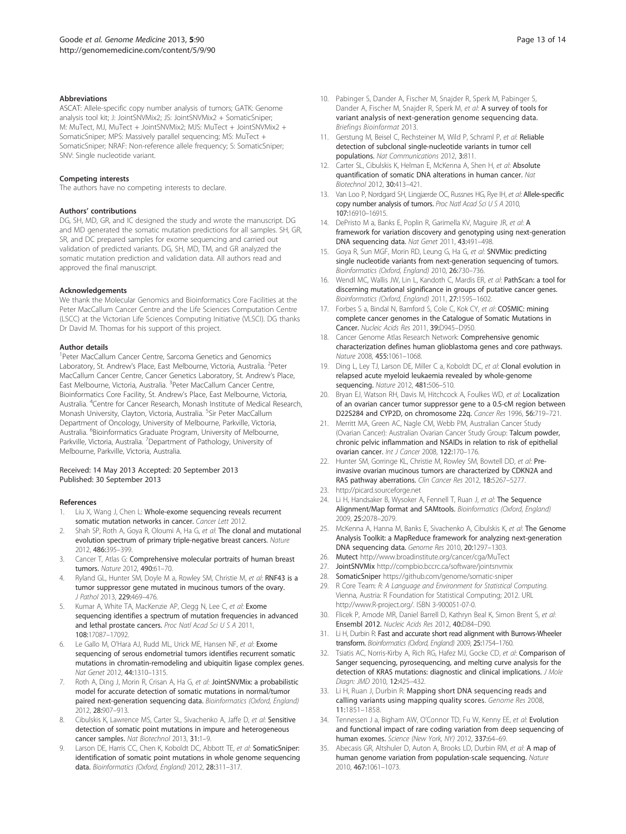#### <span id="page-12-0"></span>**Abbreviations**

ASCAT: Allele-specific copy number analysis of tumors; GATK: Genome analysis tool kit; J: JointSNVMix2; JS: JointSNVMix2 + SomaticSniper; M: MuTect, MJ, MuTect + JointSNVMix2; MJS: MuTect + JointSNVMix2 + SomaticSniper; MPS: Massively parallel sequencing; MS: MuTect + SomaticSniper; NRAF: Non-reference allele frequency; S: SomaticSniper; SNV: Single nucleotide variant.

#### Competing interests

The authors have no competing interests to declare.

#### Authors' contributions

DG, SH, MD, GR, and IC designed the study and wrote the manuscript. DG and MD generated the somatic mutation predictions for all samples. SH, GR, SR, and DC prepared samples for exome sequencing and carried out validation of predicted variants. DG, SH, MD, TM, and GR analyzed the somatic mutation prediction and validation data. All authors read and approved the final manuscript.

#### Acknowledgements

We thank the Molecular Genomics and Bioinformatics Core Facilities at the Peter MacCallum Cancer Centre and the Life Sciences Computation Centre (LSCC) at the Victorian Life Sciences Computing Initiative (VLSCI). DG thanks Dr David M. Thomas for his support of this project.

#### Author details

<sup>1</sup> Peter MacCallum Cancer Centre, Sarcoma Genetics and Genomics Laboratory, St. Andrew's Place, East Melbourne, Victoria, Australia. <sup>2</sup>Peter MacCallum Cancer Centre, Cancer Genetics Laboratory, St. Andrew's Place, East Melbourne, Victoria, Australia. <sup>3</sup>Peter MacCallum Cancer Centre, Bioinformatics Core Facility, St. Andrew's Place, East Melbourne, Victoria, Australia. <sup>4</sup>Centre for Cancer Research, Monash Institute of Medical Research, Monash University, Clayton, Victoria, Australia. <sup>5</sup>Sir Peter MacCallum Department of Oncology, University of Melbourne, Parkville, Victoria, Australia. <sup>6</sup>Bioinformatics Graduate Program, University of Melbourne, Parkville, Victoria, Australia. <sup>7</sup>Department of Pathology, University of Melbourne, Parkville, Victoria, Australia.

#### Received: 14 May 2013 Accepted: 20 September 2013 Published: 30 September 2013

#### References

- 1. Liu X, Wang J, Chen L: Whole-exome sequencing reveals recurrent somatic mutation networks in cancer. Cancer Lett 2012.
- 2. Shah SP, Roth A, Goya R, Oloumi A, Ha G, et al: The clonal and mutational evolution spectrum of primary triple-negative breast cancers. Nature 2012, 486:395–399.
- 3. Cancer T, Atlas G: Comprehensive molecular portraits of human breast tumors. Nature 2012, 490:61–70.
- 4. Ryland GL, Hunter SM, Doyle M a, Rowley SM, Christie M, et al: RNF43 is a tumor suppressor gene mutated in mucinous tumors of the ovary. J Pathol 2013, 229:469–476.
- Kumar A, White TA, MacKenzie AP, Clegg N, Lee C, et al: Exome sequencing identifies a spectrum of mutation frequencies in advanced and lethal prostate cancers. Proc Natl Acad Sci U S A 2011, 108:17087–17092.
- Le Gallo M, O'Hara AJ, Rudd ML, Urick ME, Hansen NF, et al: Exome sequencing of serous endometrial tumors identifies recurrent somatic mutations in chromatin-remodeling and ubiquitin ligase complex genes. Nat Genet 2012, 44:1310–1315.
- 7. Roth A, Ding J, Morin R, Crisan A, Ha G, et al: JointSNVMix: a probabilistic model for accurate detection of somatic mutations in normal/tumor paired next-generation sequencing data. Bioinformatics (Oxford, England) 2012, 28:907–913.
- Cibulskis K, Lawrence MS, Carter SL, Sivachenko A, Jaffe D, et al: Sensitive detection of somatic point mutations in impure and heterogeneous cancer samples. Nat Biotechnol 2013, 31:1-9.
- Larson DE, Harris CC, Chen K, Koboldt DC, Abbott TE, et al: SomaticSniper: identification of somatic point mutations in whole genome sequencing data. Bioinformatics (Oxford, England) 2012, 28:311–317.
- 10. Pabinger S, Dander A, Fischer M, Snajder R, Sperk M, Pabinger S, Dander A, Fischer M, Snajder R, Sperk M, et al: A survey of tools for variant analysis of next-generation genome sequencing data. Briefings Bioinformat 2013.
- 11. Gerstung M, Beisel C, Rechsteiner M, Wild P, Schraml P, et al: Reliable detection of subclonal single-nucleotide variants in tumor cell populations. Nat Communications 2012, 3:811.
- 12. Carter SL, Cibulskis K, Helman E, McKenna A, Shen H, et al: Absolute quantification of somatic DNA alterations in human cancer. Nat Biotechnol 2012, 30:413–421.
- 13. Van Loo P, Nordgard SH, Lingjærde OC, Russnes HG, Rye IH, et al: Allele-specific copy number analysis of tumors. Proc Natl Acad Sci U S A 2010, 107:16910–16915.
- 14. DePristo M a, Banks E, Poplin R, Garimella KV, Maguire JR, et al: A framework for variation discovery and genotyping using next-generation DNA sequencing data. Nat Genet 2011, 43:491–498.
- 15. Goya R, Sun MGF, Morin RD, Leung G, Ha G, et al: SNVMix: predicting single nucleotide variants from next-generation sequencing of tumors. Bioinformatics (Oxford, England) 2010, 26:730–736.
- 16. Wendl MC, Wallis JW, Lin L, Kandoth C, Mardis ER, et al: PathScan: a tool for discerning mutational significance in groups of putative cancer genes. Bioinformatics (Oxford, England) 2011, 27:1595–1602.
- 17. Forbes S a, Bindal N, Bamford S, Cole C, Kok CY, et al: COSMIC: mining complete cancer genomes in the Catalogue of Somatic Mutations in Cancer. Nucleic Acids Res 2011, 39:D945–D950.
- 18. Cancer Genome Atlas Research Network: Comprehensive genomic characterization defines human glioblastoma genes and core pathways. Nature 2008, 455:1061–1068.
- 19. Ding L, Ley TJ, Larson DE, Miller C a, Koboldt DC, et al: Clonal evolution in relapsed acute myeloid leukaemia revealed by whole-genome sequencing. Nature 2012, 481:506–510.
- 20. Bryan EJ, Watson RH, Davis M, Hitchcock A, Foulkes WD, et al: Localization of an ovarian cancer tumor suppressor gene to a 0.5-cM region between D22S284 and CYP2D, on chromosome 22q. Cancer Res 1996, 56:719–721.
- 21. Merritt MA, Green AC, Nagle CM, Webb PM, Australian Cancer Study (Ovarian Cancer): Australian Ovarian Cancer Study Group: Talcum powder, chronic pelvic inflammation and NSAIDs in relation to risk of epithelial ovarian cancer. Int J Cancer 2008, 122:170–176.
- 22. Hunter SM, Gorringe KL, Christie M, Rowley SM, Bowtell DD, et al: Preinvasive ovarian mucinous tumors are characterized by CDKN2A and RAS pathway aberrations. Clin Cancer Res 2012, 18:5267-5277.
- 23.<http://picard.sourceforge.net>
- 24. Li H, Handsaker B, Wysoker A, Fennell T, Ruan J, et al: The Sequence Alignment/Map format and SAMtools. Bioinformatics (Oxford, England) 2009, 25:2078–2079.
- 25. McKenna A, Hanna M, Banks E, Sivachenko A, Cibulskis K, et al: The Genome Analysis Toolkit: a MapReduce framework for analyzing next-generation DNA sequencing data. Genome Res 2010, 20:1297–1303.
- 26. Mutect <http://www.broadinstitute.org/cancer/cga/MuTect>
- 27. JointSNVMix <http://compbio.bccrc.ca/software/jointsnvmix>
- 28. SomaticSniper <https://github.com/genome/somatic-sniper>
- 29. R Core Team: R: A Language and Environment for Statistical Computing. Vienna, Austria: R Foundation for Statistical Computing; 2012. URL [http://www.R-project.org/](http://www.r-project.org/). ISBN 3-900051-07-0.
- 30. Flicek P, Amode MR, Daniel Barrell D, Kathryn Beal K, Simon Brent S, et al: Ensembl 2012. Nucleic Acids Res 2012, 40:D84–D90.
- 31. Li H, Durbin R: Fast and accurate short read alignment with Burrows-Wheeler transform. Bioinformatics (Oxford, England) 2009, 25:1754–1760.
- 32. Tsiatis AC, Norris-Kirby A, Rich RG, Hafez MJ, Gocke CD, et al: Comparison of Sanger sequencing, pyrosequencing, and melting curve analysis for the detection of KRAS mutations: diagnostic and clinical implications. J Mole Diagn: JMD 2010, 12:425–432.
- 33. Li H, Ruan J, Durbin R: Mapping short DNA sequencing reads and calling variants using mapping quality scores. Genome Res 2008, 11:1851–1858.
- 34. Tennessen J a, Bigham AW, O'Connor TD, Fu W, Kenny EE, et al: Evolution and functional impact of rare coding variation from deep sequencing of human exomes. Science (New York, NY) 2012, 337:64-69.
- 35. Abecasis GR, Altshuler D, Auton A, Brooks LD, Durbin RM, et al: A map of human genome variation from population-scale sequencing. Nature 2010, 467:1061–1073.